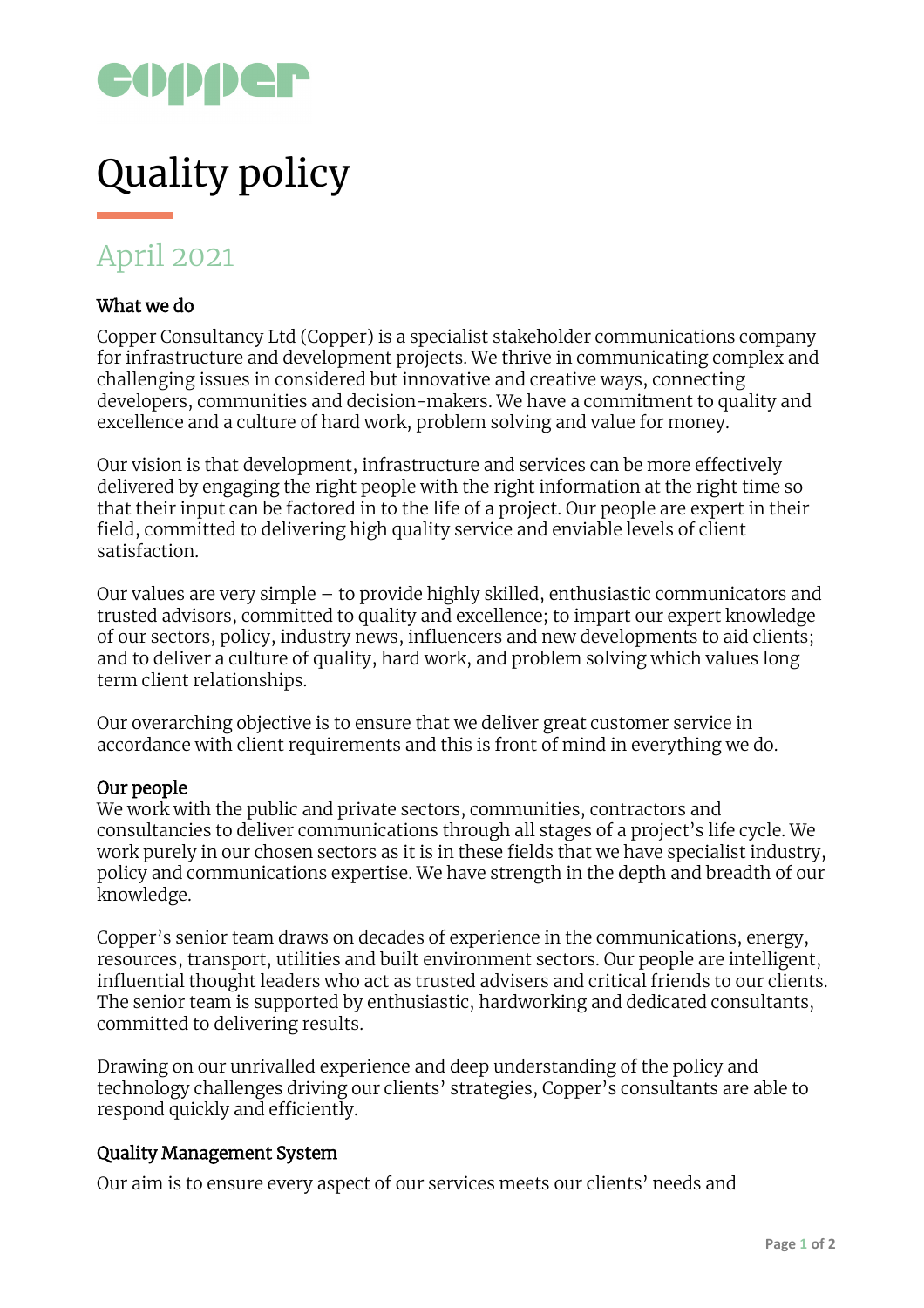

# Quality policy

# April 2021

## What we do

Copper Consultancy Ltd (Copper) is a specialist stakeholder communications company for infrastructure and development projects. We thrive in communicating complex and challenging issues in considered but innovative and creative ways, connecting developers, communities and decision-makers. We have a commitment to quality and excellence and a culture of hard work, problem solving and value for money.

Our vision is that development, infrastructure and services can be more effectively delivered by engaging the right people with the right information at the right time so that their input can be factored in to the life of a project. Our people are expert in their field, committed to delivering high quality service and enviable levels of client satisfaction.

Our values are very simple – to provide highly skilled, enthusiastic communicators and trusted advisors, committed to quality and excellence; to impart our expert knowledge of our sectors, policy, industry news, influencers and new developments to aid clients; and to deliver a culture of quality, hard work, and problem solving which values long term client relationships.

Our overarching objective is to ensure that we deliver great customer service in accordance with client requirements and this is front of mind in everything we do.

#### Our people

We work with the public and private sectors, communities, contractors and consultancies to deliver communications through all stages of a project's life cycle. We work purely in our chosen sectors as it is in these fields that we have specialist industry, policy and communications expertise. We have strength in the depth and breadth of our knowledge.

Copper's senior team draws on decades of experience in the communications, energy, resources, transport, utilities and built environment sectors. Our people are intelligent, influential thought leaders who act as trusted advisers and critical friends to our clients. The senior team is supported by enthusiastic, hardworking and dedicated consultants, committed to delivering results.

Drawing on our unrivalled experience and deep understanding of the policy and technology challenges driving our clients' strategies, Copper's consultants are able to respond quickly and efficiently.

### Quality Management System

Our aim is to ensure every aspect of our services meets our clients' needs and